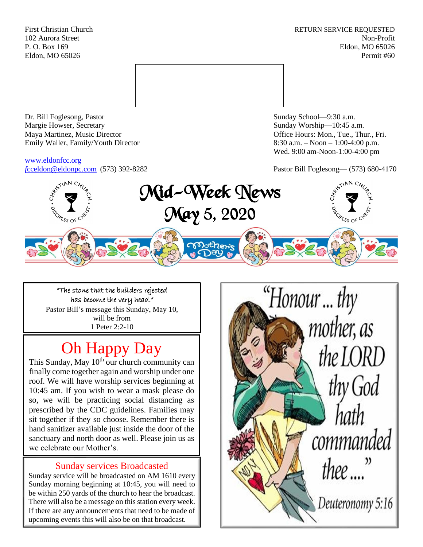First Christian Church **RETURN SERVICE REQUESTED** 102 Aurora Street Non-Profit P. O. Box 169 Eldon, MO 65026 Eldon, MO 65026 Permit #60



Dr. Bill Foglesong, Pastor Sunday School—9:30 a.m. Margie Howser, Secretary Sunday Worship—10:45 a.m. Maya Martinez, Music Director Office Hours: Mon., Tue., Thur., Fri. Emily Waller, Family/Youth Director 8:30 a.m. – Noon – 1:00-4:00 p.m.

[www.eldonfcc.org](http://www.eldonfcc.org/)

Wed. 9:00 am-Noon-1:00-4:00 pm

*f*[cceldon@eldonpc.com](mailto:fcceldon@eldonpc.com) (573) 392-8282 Pastor Bill Foglesong— (573) 680-4170



"The stone that the builders rejected has become the very head." Pastor Bill's message this Sunday, May 10, will be from 1 Peter 2:2-10

# Oh Happy Day

This Sunday, May  $10^{th}$  our church community can finally come together again and worship under one roof. We will have worship services beginning at 10:45 am. If you wish to wear a mask please do so, we will be practicing social distancing as prescribed by the CDC guidelines. Families may sit together if they so choose. Remember there is hand sanitizer available just inside the door of the sanctuary and north door as well. Please join us as we celebrate our Mother's.

## Sunday services Broadcasted

Sunday service will be broadcasted on AM 1610 every Sunday morning beginning at 10:45, you will need to be within 250 yards of the church to hear the broadcast. There will also be a message on this station every week. If there are any announcements that need to be made of upcoming events this will also be on that broadcast.